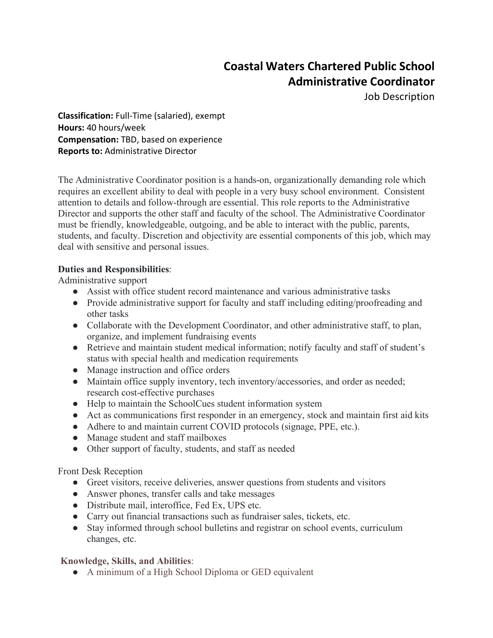## **Coastal Waters Chartered Public School Administrative Coordinator**

Job Description

**Classification:** Full-Time (salaried), exempt **Hours:** 40 hours/week **Compensation:** TBD, based on experience **Reports to:** Administrative Director

The Administrative Coordinator position is a hands-on, organizationally demanding role which requires an excellent ability to deal with people in a very busy school environment. Consistent attention to details and follow-through are essential. This role reports to the Administrative Director and supports the other staff and faculty of the school. The Administrative Coordinator must be friendly, knowledgeable, outgoing, and be able to interact with the public, parents, students, and faculty. Discretion and objectivity are essential components of this job, which may deal with sensitive and personal issues.

## **Duties and Responsibilities**:

Administrative support

- Assist with office student record maintenance and various administrative tasks
- Provide administrative support for faculty and staff including editing/proofreading and other tasks
- Collaborate with the Development Coordinator, and other administrative staff, to plan, organize, and implement fundraising events
- Retrieve and maintain student medical information; notify faculty and staff of student's status with special health and medication requirements
- Manage instruction and office orders
- Maintain office supply inventory, tech inventory/accessories, and order as needed; research cost-effective purchases
- Help to maintain the SchoolCues student information system
- Act as communications first responder in an emergency, stock and maintain first aid kits
- Adhere to and maintain current COVID protocols (signage, PPE, etc.).
- Manage student and staff mailboxes
- Other support of faculty, students, and staff as needed

Front Desk Reception

- Greet visitors, receive deliveries, answer questions from students and visitors
- Answer phones, transfer calls and take messages
- Distribute mail, interoffice, Fed Ex, UPS etc.
- Carry out financial transactions such as fundraiser sales, tickets, etc.
- Stay informed through school bulletins and registrar on school events, curriculum changes, etc.

## **Knowledge, Skills, and Abilities**:

● A minimum of a High School Diploma or GED equivalent